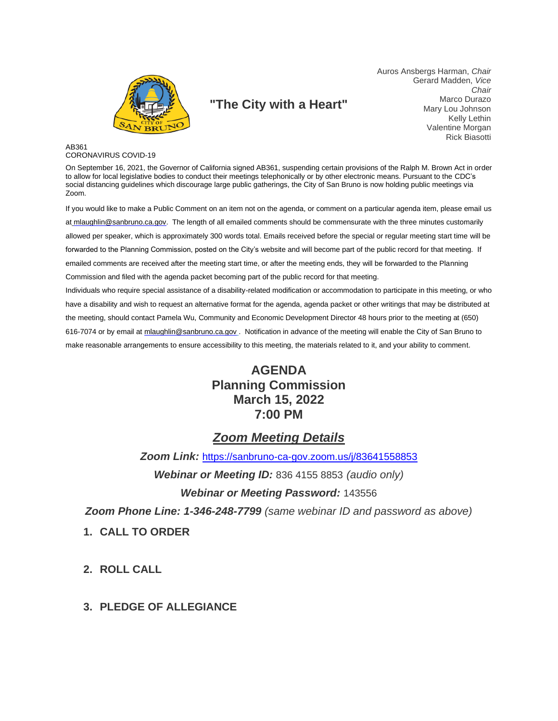

# **"The City with a Heart"**

Auros Ansbergs Harman, *Chair* Gerard Madden, *Vice Chair* Marco Durazo Mary Lou Johnson Kelly Lethin Valentine Morgan Rick Biasotti

#### AB361 CORONAVIRUS COVID-19

On September 16, 2021, the Governor of California signed AB361, suspending certain provisions of the Ralph M. Brown Act in order to allow for local legislative bodies to conduct their meetings telephonically or by other electronic means. Pursuant to the CDC's social distancing guidelines which discourage large public gatherings, the City of San Bruno is now holding public meetings via Zoom.

If you would like to make a Public Comment on an item not on the agenda, or comment on a particular agenda item, please email us at mlaughlin@sanbruno.ca.gov. The length of all emailed comments should be commensurate with the three minutes customarily allowed per speaker, which is approximately 300 words total. Emails received before the special or regular meeting start time will be forwarded to the Planning Commission, posted on the City's website and will become part of the public record for that meeting. If emailed comments are received after the meeting start time, or after the meeting ends, they will be forwarded to the Planning Commission and filed with the agenda packet becoming part of the public record for that meeting.

Individuals who require special assistance of a disability-related modification or accommodation to participate in this meeting, or who have a disability and wish to request an alternative format for the agenda, agenda packet or other writings that may be distributed at the meeting, should contact Pamela Wu, Community and Economic Development Director 48 hours prior to the meeting at (650) 616-7074 or by email at mlaughlin@sanbruno.ca.gov . Notification in advance of the meeting will enable the City of San Bruno to make reasonable arrangements to ensure accessibility to this meeting, the materials related to it, and your ability to comment.

# **AGENDA Planning Commission March 15, 2022 7:00 PM**

# *Zoom Meeting Details*

*Zoom Link:* <https://sanbruno-ca-gov.zoom.us/j/83641558853>

*Webinar or Meeting ID:* 836 4155 8853 *(audio only)*

*Webinar or Meeting Password:* 143556

*Zoom Phone Line: 1-346-248-7799 (same webinar ID and password as above)*

**1. CALL TO ORDER**

**2. ROLL CALL**

#### **3. PLEDGE OF ALLEGIANCE**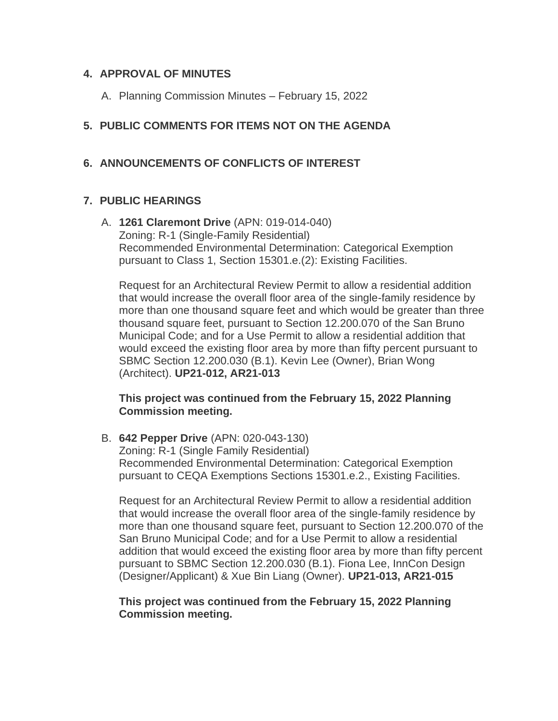#### **4. APPROVAL OF MINUTES**

A. Planning Commission Minutes – February 15, 2022

# **5. PUBLIC COMMENTS FOR ITEMS NOT ON THE AGENDA**

# **6. ANNOUNCEMENTS OF CONFLICTS OF INTEREST**

## **7. PUBLIC HEARINGS**

A. **1261 Claremont Drive** (APN: 019-014-040) Zoning: R-1 (Single-Family Residential) Recommended Environmental Determination: Categorical Exemption pursuant to Class 1, Section 15301.e.(2): Existing Facilities.

Request for an Architectural Review Permit to allow a residential addition that would increase the overall floor area of the single-family residence by more than one thousand square feet and which would be greater than three thousand square feet, pursuant to Section 12.200.070 of the San Bruno Municipal Code; and for a Use Permit to allow a residential addition that would exceed the existing floor area by more than fifty percent pursuant to SBMC Section 12.200.030 (B.1). Kevin Lee (Owner), Brian Wong (Architect). **UP21-012, AR21-013**

## **This project was continued from the February 15, 2022 Planning Commission meeting.**

B. **642 Pepper Drive** (APN: 020-043-130)

Zoning: R-1 (Single Family Residential) Recommended Environmental Determination: Categorical Exemption pursuant to CEQA Exemptions Sections 15301.e.2., Existing Facilities.

Request for an Architectural Review Permit to allow a residential addition that would increase the overall floor area of the single-family residence by more than one thousand square feet, pursuant to Section 12.200.070 of the San Bruno Municipal Code; and for a Use Permit to allow a residential addition that would exceed the existing floor area by more than fifty percent pursuant to SBMC Section 12.200.030 (B.1). Fiona Lee, InnCon Design (Designer/Applicant) & Xue Bin Liang (Owner). **UP21-013, AR21-015**

## **This project was continued from the February 15, 2022 Planning Commission meeting.**